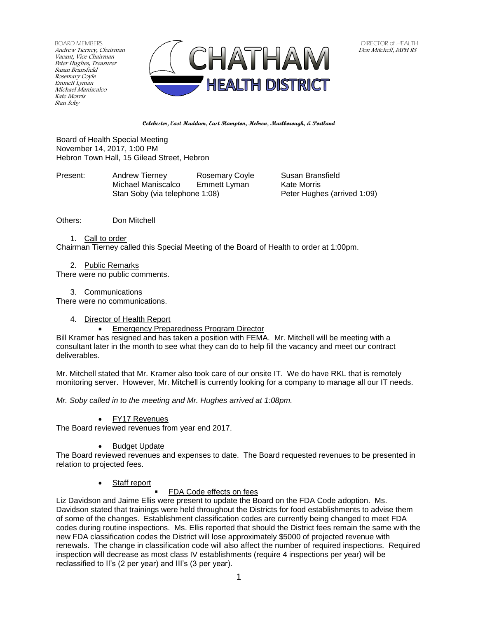BOARD MEMBERS Andrew Tierney, Chairman Vacant, Vice Chairman Peter Hughes, Treasurer Susan Bransfield Rosemary Coyle Emmett Lyman Michael Maniscalco Kate Morris Stan Soby



**Colchester, East Haddam, East Hampton, Hebron, Marlborough, & Portland**

Board of Health Special Meeting November 14, 2017, 1:00 PM Hebron Town Hall, 15 Gilead Street, Hebron

Present: Andrew Tierney Rosemary Coyle Susan Bransfield<br>Michael Maniscalco Emmett Lyman Kate Morris Michael Maniscalco Emmett Lyman Kate Morris Stan Soby (via telephone 1:08)

Others: Don Mitchell

## 1. Call to order

Chairman Tierney called this Special Meeting of the Board of Health to order at 1:00pm.

2. Public Remarks

There were no public comments.

3. Communications

There were no communications.

# 4. Director of Health Report

Emergency Preparedness Program Director

Bill Kramer has resigned and has taken a position with FEMA. Mr. Mitchell will be meeting with a consultant later in the month to see what they can do to help fill the vacancy and meet our contract deliverables.

Mr. Mitchell stated that Mr. Kramer also took care of our onsite IT. We do have RKL that is remotely monitoring server. However, Mr. Mitchell is currently looking for a company to manage all our IT needs.

*Mr. Soby called in to the meeting and Mr. Hughes arrived at 1:08pm.*

# FY17 Revenues

The Board reviewed revenues from year end 2017.

# Budget Update

The Board reviewed revenues and expenses to date. The Board requested revenues to be presented in relation to projected fees.

# Staff report

FDA Code effects on fees

Liz Davidson and Jaime Ellis were present to update the Board on the FDA Code adoption. Ms. Davidson stated that trainings were held throughout the Districts for food establishments to advise them of some of the changes. Establishment classification codes are currently being changed to meet FDA codes during routine inspections. Ms. Ellis reported that should the District fees remain the same with the new FDA classification codes the District will lose approximately \$5000 of projected revenue with renewals. The change in classification code will also affect the number of required inspections. Required inspection will decrease as most class IV establishments (require 4 inspections per year) will be reclassified to II's (2 per year) and III's (3 per year).